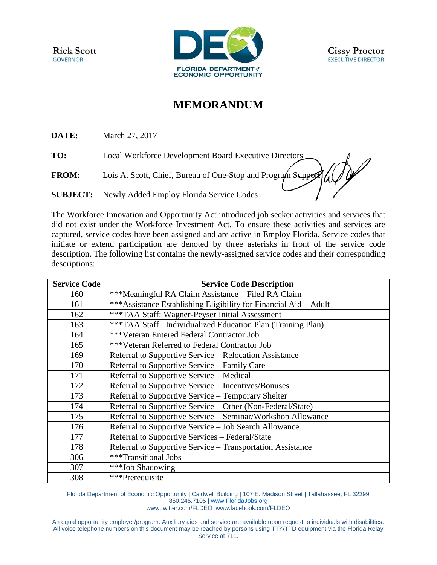**Rick Scott GOVERNOR** 



**Cissy Proctor EXECUTIVE DIRECTOR** 

## **MEMORANDUM**

**DATE:** March 27, 2017

**TO:** Local Workforce Development Board Executive Directors

FROM: Lois A. Scott, Chief, Bureau of One-Stop and Program Support

**SUBJECT:** Newly Added Employ Florida Service Codes

The Workforce Innovation and Opportunity Act introduced job seeker activities and services that did not exist under the Workforce Investment Act. To ensure these activities and services are captured, service codes have been assigned and are active in Employ Florida. Service codes that initiate or extend participation are denoted by three asterisks in front of the service code description. The following list contains the newly-assigned service codes and their corresponding descriptions:

| <b>Service Code</b> | <b>Service Code Description</b>                                    |
|---------------------|--------------------------------------------------------------------|
| 160                 | ***Meaningful RA Claim Assistance - Filed RA Claim                 |
| 161                 | *** Assistance Establishing Eligibility for Financial Aid - Adult  |
| 162                 | ***TAA Staff: Wagner-Peyser Initial Assessment                     |
| 163                 | <b>***TAA Staff:</b> Individualized Education Plan (Training Plan) |
| 164                 | ***Veteran Entered Federal Contractor Job                          |
| 165                 | ***Veteran Referred to Federal Contractor Job                      |
| 169                 | Referral to Supportive Service – Relocation Assistance             |
| 170                 | Referral to Supportive Service - Family Care                       |
| 171                 | Referral to Supportive Service - Medical                           |
| 172                 | Referral to Supportive Service - Incentives/Bonuses                |
| 173                 | Referral to Supportive Service - Temporary Shelter                 |
| 174                 | Referral to Supportive Service – Other (Non-Federal/State)         |
| 175                 | Referral to Supportive Service – Seminar/Workshop Allowance        |
| 176                 | Referral to Supportive Service - Job Search Allowance              |
| 177                 | Referral to Supportive Services - Federal/State                    |
| 178                 | Referral to Supportive Service – Transportation Assistance         |
| 306                 | ***Transitional Jobs                                               |
| 307                 | ***Job Shadowing                                                   |
| 308                 | ***Prerequisite                                                    |

Florida Department of Economic Opportunity | Caldwell Building | 107 E. Madison Street | Tallahassee, FL 32399 850.245.7105 | [www.FloridaJobs.org](http://www.floridajobs.org/) [www.twitter.com/FLDEO](http://www.twitter.com/FLDEO) |www.facebook.com/FLDEO

An equal opportunity employer/program. Auxiliary aids and service are available upon request to individuals with disabilities. All voice telephone numbers on this document may be reached by persons using TTY/TTD equipment via the Florida Relay Service at 711.